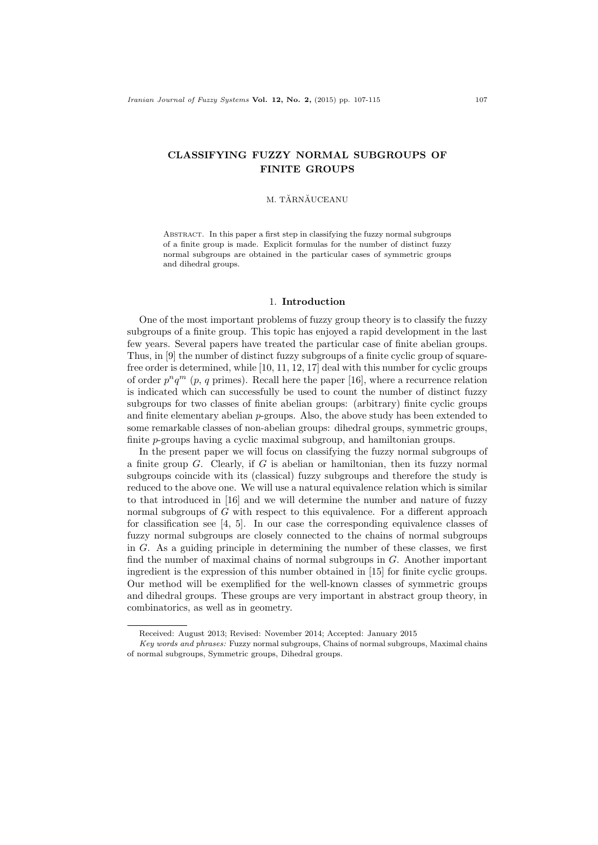# CLASSIFYING FUZZY NORMAL SUBGROUPS OF FINITE GROUPS

### M. TĂRNĂUCEANU

Abstract. In this paper a first step in classifying the fuzzy normal subgroups of a finite group is made. Explicit formulas for the number of distinct fuzzy normal subgroups are obtained in the particular cases of symmetric groups and dihedral groups.

## 1. Introduction

One of the most important problems of fuzzy group theory is to classify the fuzzy subgroups of a finite group. This topic has enjoyed a rapid development in the last few years. Several papers have treated the particular case of finite abelian groups. Thus, in [9] the number of distinct fuzzy subgroups of a finite cyclic group of squarefree order is determined, while [10, 11, 12, 17] deal with this number for cyclic groups of order  $p^n q^m$  (p, q primes). Recall here the paper [16], where a recurrence relation is indicated which can successfully be used to count the number of distinct fuzzy subgroups for two classes of finite abelian groups: (arbitrary) finite cyclic groups and finite elementary abelian  $p$ -groups. Also, the above study has been extended to some remarkable classes of non-abelian groups: dihedral groups, symmetric groups, finite p-groups having a cyclic maximal subgroup, and hamiltonian groups.

In the present paper we will focus on classifying the fuzzy normal subgroups of a finite group G. Clearly, if G is abelian or hamiltonian, then its fuzzy normal subgroups coincide with its (classical) fuzzy subgroups and therefore the study is reduced to the above one. We will use a natural equivalence relation which is similar to that introduced in [16] and we will determine the number and nature of fuzzy normal subgroups of G with respect to this equivalence. For a different approach for classification see  $[4, 5]$ . In our case the corresponding equivalence classes of fuzzy normal subgroups are closely connected to the chains of normal subgroups in G. As a guiding principle in determining the number of these classes, we first find the number of maximal chains of normal subgroups in G. Another important ingredient is the expression of this number obtained in [15] for finite cyclic groups. Our method will be exemplified for the well-known classes of symmetric groups and dihedral groups. These groups are very important in abstract group theory, in combinatorics, as well as in geometry.

Received: August 2013; Revised: November 2014; Accepted: January 2015

Key words and phrases: Fuzzy normal subgroups, Chains of normal subgroups, Maximal chains of normal subgroups, Symmetric groups, Dihedral groups.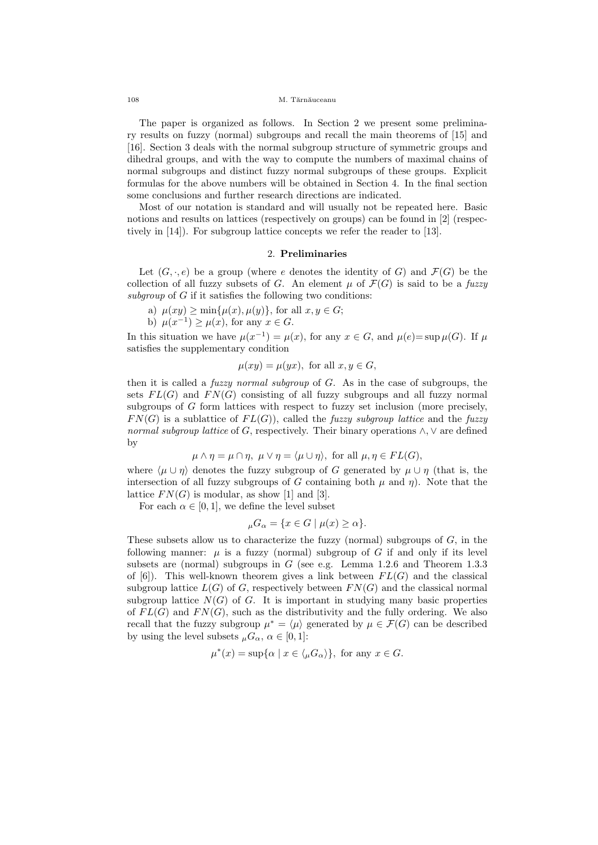#### 108 M. Tărnăuceanu

The paper is organized as follows. In Section 2 we present some preliminary results on fuzzy (normal) subgroups and recall the main theorems of [15] and [16]. Section 3 deals with the normal subgroup structure of symmetric groups and dihedral groups, and with the way to compute the numbers of maximal chains of normal subgroups and distinct fuzzy normal subgroups of these groups. Explicit formulas for the above numbers will be obtained in Section 4. In the final section some conclusions and further research directions are indicated.

Most of our notation is standard and will usually not be repeated here. Basic notions and results on lattices (respectively on groups) can be found in [2] (respectively in [14]). For subgroup lattice concepts we refer the reader to [13].

# 2. Preliminaries

Let  $(G, \cdot, e)$  be a group (where e denotes the identity of G) and  $\mathcal{F}(G)$  be the collection of all fuzzy subsets of G. An element  $\mu$  of  $\mathcal{F}(G)$  is said to be a fuzzy subgroup of  $G$  if it satisfies the following two conditions:

a) 
$$
\mu(xy) \ge \min{\mu(x), \mu(y)}
$$
, for all  $x, y \in G$ ;

b)  $\mu(x^{-1}) \geq \mu(x)$ , for any  $x \in G$ .

In this situation we have  $\mu(x^{-1}) = \mu(x)$ , for any  $x \in G$ , and  $\mu(e) = \sup \mu(G)$ . If  $\mu$ satisfies the supplementary condition

$$
\mu(xy) = \mu(yx), \text{ for all } x, y \in G,
$$

then it is called a *fuzzy normal subgroup* of  $G$ . As in the case of subgroups, the sets  $FL(G)$  and  $FN(G)$  consisting of all fuzzy subgroups and all fuzzy normal subgroups of G form lattices with respect to fuzzy set inclusion (more precisely,  $FN(G)$  is a sublattice of  $FL(G)$ , called the *fuzzy subgroup lattice* and the *fuzzy* normal subgroup lattice of G, respectively. Their binary operations  $\wedge$ ,  $\vee$  are defined by

$$
\mu \wedge \eta = \mu \cap \eta, \ \mu \vee \eta = \langle \mu \cup \eta \rangle
$$
, for all  $\mu, \eta \in FL(G)$ ,

where  $\langle \mu \cup \eta \rangle$  denotes the fuzzy subgroup of G generated by  $\mu \cup \eta$  (that is, the intersection of all fuzzy subgroups of G containing both  $\mu$  and  $\eta$ ). Note that the lattice  $FN(G)$  is modular, as show [1] and [3].

For each  $\alpha \in [0, 1]$ , we define the level subset

$$
{}_{\mu}G_{\alpha} = \{ x \in G \mid \mu(x) \ge \alpha \}.
$$

These subsets allow us to characterize the fuzzy (normal) subgroups of  $G$ , in the following manner:  $\mu$  is a fuzzy (normal) subgroup of G if and only if its level subsets are (normal) subgroups in  $G$  (see e.g. Lemma 1.2.6 and Theorem 1.3.3 of [6]). This well-known theorem gives a link between  $FL(G)$  and the classical subgroup lattice  $L(G)$  of G, respectively between  $FN(G)$  and the classical normal subgroup lattice  $N(G)$  of G. It is important in studying many basic properties of  $FL(G)$  and  $FN(G)$ , such as the distributivity and the fully ordering. We also recall that the fuzzy subgroup  $\mu^* = \langle \mu \rangle$  generated by  $\mu \in \mathcal{F}(G)$  can be described by using the level subsets  $_{\mu}G_{\alpha}$ ,  $\alpha \in [0,1]$ :

$$
\mu^*(x) = \sup \{ \alpha \mid x \in \langle _\mu G_\alpha \rangle \}, \text{ for any } x \in G.
$$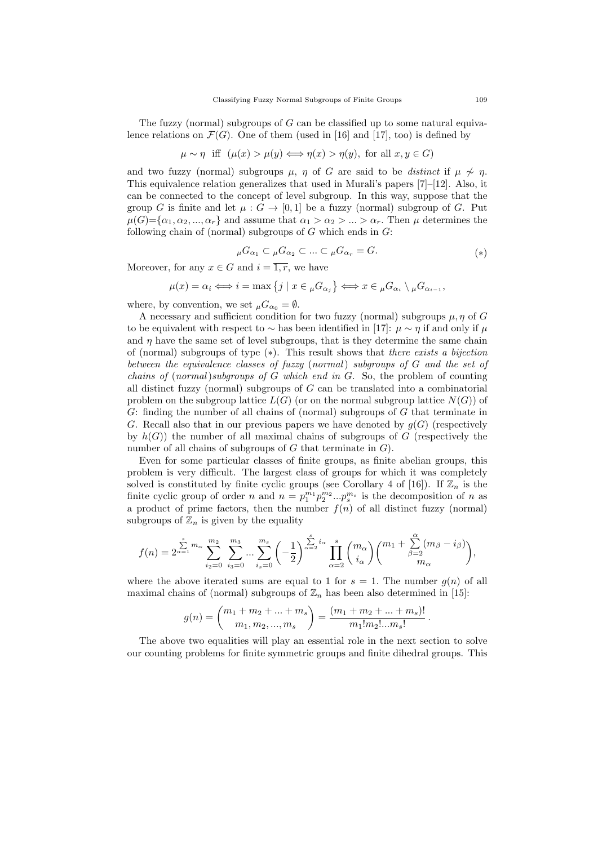The fuzzy (normal) subgroups of  $G$  can be classified up to some natural equivalence relations on  $\mathcal{F}(G)$ . One of them (used in [16] and [17], too) is defined by

$$
\mu \sim \eta
$$
 iff  $(\mu(x) > \mu(y) \Longleftrightarrow \eta(x) > \eta(y))$ , for all  $x, y \in G$ )

and two fuzzy (normal) subgroups  $\mu$ ,  $\eta$  of G are said to be distinct if  $\mu \nsim \eta$ . This equivalence relation generalizes that used in Murali's papers [7]–[12]. Also, it can be connected to the concept of level subgroup. In this way, suppose that the group G is finite and let  $\mu : G \to [0,1]$  be a fuzzy (normal) subgroup of G. Put  $\mu(G) = {\alpha_1, \alpha_2, ..., \alpha_r}$  and assume that  $\alpha_1 > \alpha_2 > ... > \alpha_r$ . Then  $\mu$  determines the following chain of (normal) subgroups of  $G$  which ends in  $G$ :

$$
{}_{\mu}G_{\alpha_1} \subset {}_{\mu}G_{\alpha_2} \subset ... \subset {}_{\mu}G_{\alpha_r} = G.
$$
 (\*)

Moreover, for any  $x \in G$  and  $i = \overline{1, r}$ , we have

$$
\mu(x) = \alpha_i \Longleftrightarrow i = \max\left\{j \mid x \in \mu G_{\alpha_j}\right\} \Longleftrightarrow x \in \mu G_{\alpha_i} \setminus \mu G_{\alpha_{i-1}},
$$

where, by convention, we set  $_{\mu}G_{\alpha_0} = \emptyset$ .

A necessary and sufficient condition for two fuzzy (normal) subgroups  $\mu$ ,  $\eta$  of G to be equivalent with respect to  $\sim$  has been identified in [17]:  $\mu \sim \eta$  if and only if  $\mu$ and  $\eta$  have the same set of level subgroups, that is they determine the same chain of (normal) subgroups of type  $(*)$ . This result shows that there exists a bijection between the equivalence classes of fuzzy (normal) subgroups of G and the set of chains of  $(normal)$ subgroups of G which end in G. So, the problem of counting all distinct fuzzy (normal) subgroups of  $G$  can be translated into a combinatorial problem on the subgroup lattice  $L(G)$  (or on the normal subgroup lattice  $N(G)$ ) of G: finding the number of all chains of (normal) subgroups of G that terminate in G. Recall also that in our previous papers we have denoted by  $g(G)$  (respectively by  $h(G)$ ) the number of all maximal chains of subgroups of G (respectively the number of all chains of subgroups of  $G$  that terminate in  $G$ ).

Even for some particular classes of finite groups, as finite abelian groups, this problem is very difficult. The largest class of groups for which it was completely solved is constituted by finite cyclic groups (see Corollary 4 of [16]). If  $\mathbb{Z}_n$  is the finite cyclic group of order n and  $n = p_1^{m_1} p_2^{m_2} ... p_s^{m_s}$  is the decomposition of n as a product of prime factors, then the number  $f(n)$  of all distinct fuzzy (normal) subgroups of  $\mathbb{Z}_n$  is given by the equality

$$
f(n)=2^{\sum\limits_{\alpha=1}^{s}m_{\alpha}}\sum\limits_{i_{2}=0}^{m_{2}}\ \sum\limits_{i_{3}=0}^{m_{3}}...\sum\limits_{i_{s}=0}^{m_{s}}\left(-\frac{1}{2}\right)^{\sum\limits_{\alpha=2}^{s}i_{\alpha}}\prod\limits_{\alpha=2}^{s}\binom{m_{\alpha}}{i_{\alpha}}\binom{m_{1}+\sum\limits_{\beta=2}^{\alpha}(m_{\beta}-i_{\beta})}{m_{\alpha}},
$$

where the above iterated sums are equal to 1 for  $s = 1$ . The number  $g(n)$  of all maximal chains of (normal) subgroups of  $\mathbb{Z}_n$  has been also determined in [15]:

$$
g(n) = {m_1 + m_2 + \dots + m_s \choose m_1, m_2, \dots, m_s} = \frac{(m_1 + m_2 + \dots + m_s)!}{m_1! m_2! \dots m_s!}
$$

.

The above two equalities will play an essential role in the next section to solve our counting problems for finite symmetric groups and finite dihedral groups. This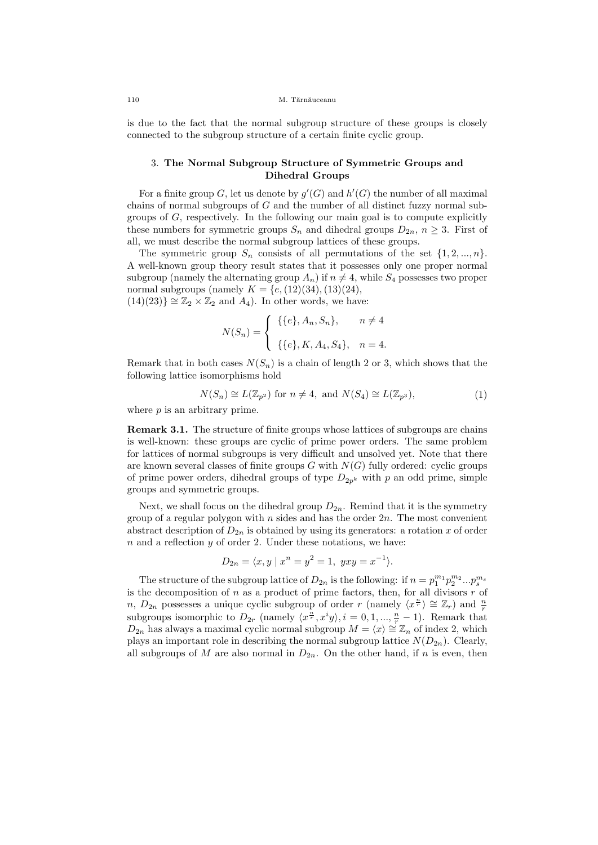is due to the fact that the normal subgroup structure of these groups is closely connected to the subgroup structure of a certain finite cyclic group.

## 3. The Normal Subgroup Structure of Symmetric Groups and Dihedral Groups

For a finite group G, let us denote by  $g'(G)$  and  $h'(G)$  the number of all maximal chains of normal subgroups of  $G$  and the number of all distinct fuzzy normal subgroups of  $G$ , respectively. In the following our main goal is to compute explicitly these numbers for symmetric groups  $S_n$  and dihedral groups  $D_{2n}$ ,  $n \geq 3$ . First of all, we must describe the normal subgroup lattices of these groups.

The symmetric group  $S_n$  consists of all permutations of the set  $\{1, 2, ..., n\}$ . A well-known group theory result states that it possesses only one proper normal subgroup (namely the alternating group  $A_n$ ) if  $n \neq 4$ , while  $S_4$  possesses two proper normal subgroups (namely  $K = \{e,(12)(34),(13)(24),\}$  $(14)(23)$  ≅  $\mathbb{Z}_2 \times \mathbb{Z}_2$  and  $A_4$ ). In other words, we have:

$$
N(S_n) = \begin{cases} \{ \{e\}, A_n, S_n \}, & n \neq 4 \\ \{ \{e\}, K, A_4, S_4 \}, & n = 4. \end{cases}
$$

Remark that in both cases  $N(S_n)$  is a chain of length 2 or 3, which shows that the following lattice isomorphisms hold

$$
N(S_n) \cong L(\mathbb{Z}_{p^2}) \text{ for } n \neq 4, \text{ and } N(S_4) \cong L(\mathbb{Z}_{p^3}), \tag{1}
$$

where  $p$  is an arbitrary prime.

Remark 3.1. The structure of finite groups whose lattices of subgroups are chains is well-known: these groups are cyclic of prime power orders. The same problem for lattices of normal subgroups is very difficult and unsolved yet. Note that there are known several classes of finite groups  $G$  with  $N(G)$  fully ordered: cyclic groups of prime power orders, dihedral groups of type  $D_{2p^k}$  with p an odd prime, simple groups and symmetric groups.

Next, we shall focus on the dihedral group  $D_{2n}$ . Remind that it is the symmetry group of a regular polygon with  $n$  sides and has the order  $2n$ . The most convenient abstract description of  $D_{2n}$  is obtained by using its generators: a rotation x of order  $n$  and a reflection  $y$  of order 2. Under these notations, we have:

$$
D_{2n} = \langle x, y \mid x^n = y^2 = 1, yxy = x^{-1} \rangle.
$$

The structure of the subgroup lattice of  $D_{2n}$  is the following: if  $n = p_1^{m_1} p_2^{m_2} ... p_s^{m_s}$ is the decomposition of  $n$  as a product of prime factors, then, for all divisors  $r$  of n,  $D_{2n}$  possesses a unique cyclic subgroup of order r (namely  $\langle x^{\frac{n}{r}} \rangle \cong \mathbb{Z}_r$ ) and  $\frac{n}{r}$ subgroups isomorphic to  $D_{2r}$  (namely  $\langle x^{\frac{n}{r}}, x^i y \rangle$ ,  $i = 0, 1, ..., \frac{n}{r} - 1$ ). Remark that  $D_{2n}$  has always a maximal cyclic normal subgroup  $M = \langle x \rangle \cong \mathbb{Z}_n$  of index 2, which plays an important role in describing the normal subgroup lattice  $N(D_{2n})$ . Clearly, all subgroups of M are also normal in  $D_{2n}$ . On the other hand, if n is even, then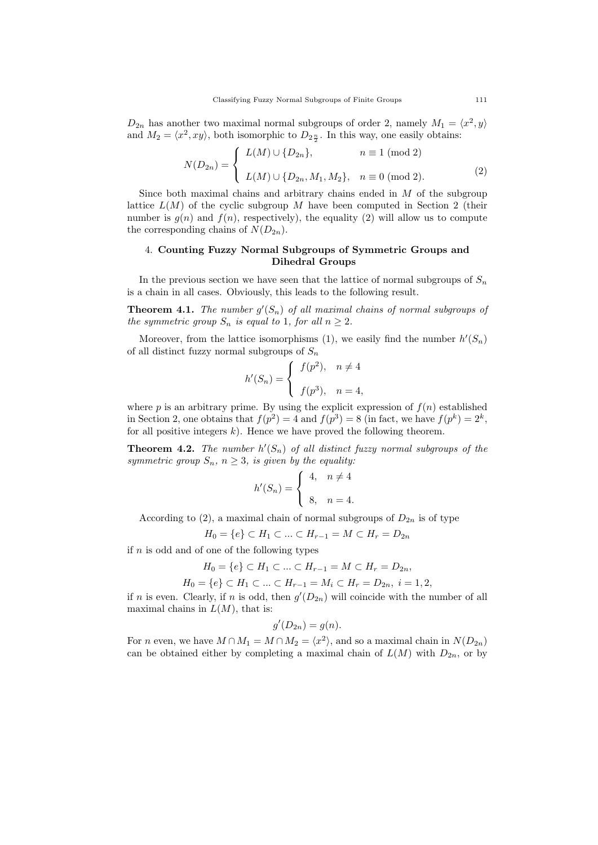$D_{2n}$  has another two maximal normal subgroups of order 2, namely  $M_1 = \langle x^2, y \rangle$ and  $M_2 = \langle x^2, xy \rangle$ , both isomorphic to  $D_{2\frac{n}{2}}$ . In this way, one easily obtains:

$$
N(D_{2n}) = \begin{cases} L(M) \cup \{D_{2n}\}, & n \equiv 1 \pmod{2} \\ L(M) \cup \{D_{2n}, M_1, M_2\}, & n \equiv 0 \pmod{2}. \end{cases}
$$
 (2)

Since both maximal chains and arbitrary chains ended in  $M$  of the subgroup lattice  $L(M)$  of the cyclic subgroup M have been computed in Section 2 (their number is  $g(n)$  and  $f(n)$ , respectively), the equality (2) will allow us to compute the corresponding chains of  $N(D_{2n})$ .

## 4. Counting Fuzzy Normal Subgroups of Symmetric Groups and Dihedral Groups

In the previous section we have seen that the lattice of normal subgroups of  $S_n$ is a chain in all cases. Obviously, this leads to the following result.

**Theorem 4.1.** The number  $g'(S_n)$  of all maximal chains of normal subgroups of the symmetric group  $S_n$  is equal to 1, for all  $n \geq 2$ .

Moreover, from the lattice isomorphisms (1), we easily find the number  $h'(S_n)$ of all distinct fuzzy normal subgroups of  $S_n$ 

$$
h'(S_n) = \begin{cases} f(p^2), & n \neq 4 \\ f(p^3), & n = 4, \end{cases}
$$

where p is an arbitrary prime. By using the explicit expression of  $f(n)$  established in Section 2, one obtains that  $f(p^2) = 4$  and  $f(p^3) = 8$  (in fact, we have  $f(p^k) = 2^k$ , for all positive integers  $k$ ). Hence we have proved the following theorem.

**Theorem 4.2.** The number  $h'(S_n)$  of all distinct fuzzy normal subgroups of the symmetric group  $S_n$ ,  $n \geq 3$ , is given by the equality:

$$
h'(S_n) = \begin{cases} 4, & n \neq 4 \\ 8, & n = 4. \end{cases}
$$

According to (2), a maximal chain of normal subgroups of  $D_{2n}$  is of type

$$
H_0 = \{e\} \subset H_1 \subset \ldots \subset H_{r-1} = M \subset H_r = D_{2n}
$$

if  $n$  is odd and of one of the following types

$$
H_0 = \{e\} \subset H_1 \subset \ldots \subset H_{r-1} = M \subset H_r = D_{2n},
$$

$$
H_0 = \{e\} \subset H_1 \subset \dots \subset H_{r-1} = M_i \subset H_r = D_{2n}, \ i = 1, 2,
$$

if n is even. Clearly, if n is odd, then  $g'(D_{2n})$  will coincide with the number of all maximal chains in  $L(M)$ , that is:

$$
g'(D_{2n}) = g(n).
$$

For *n* even, we have  $M \cap M_1 = M \cap M_2 = \langle x^2 \rangle$ , and so a maximal chain in  $N(D_{2n})$ can be obtained either by completing a maximal chain of  $L(M)$  with  $D_{2n}$ , or by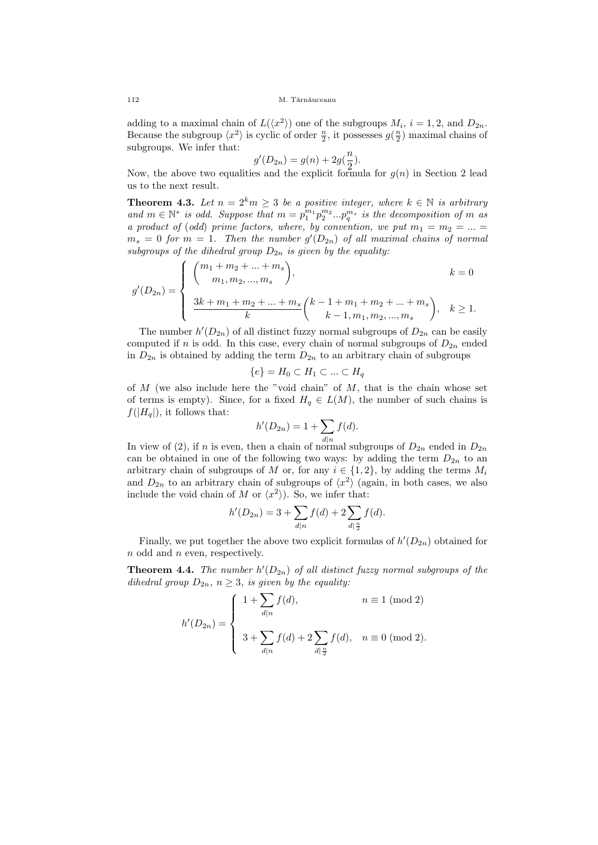adding to a maximal chain of  $L(\langle x^2 \rangle)$  one of the subgroups  $M_i$ ,  $i = 1, 2$ , and  $D_{2n}$ . Because the subgroup  $\langle x^2 \rangle$  is cyclic of order  $\frac{n}{2}$ , it possesses  $g(\frac{n}{2})$  maximal chains of subgroups. We infer that:

$$
g'(D_{2n}) = g(n) + 2g(\frac{n}{2}).
$$

Now, the above two equalities and the explicit formula for  $g(n)$  in Section 2 lead us to the next result.

**Theorem 4.3.** Let  $n = 2^k m \geq 3$  be a positive integer, where  $k \in \mathbb{N}$  is arbitrary and  $m \in \mathbb{N}^*$  is odd. Suppose that  $m = p_1^{m_1} p_2^{m_2} ... p_q^{m_s}$  is the decomposition of m as a product of (odd) prime factors, where, by convention, we put  $m_1 = m_2 = ... =$  $m_s = 0$  for  $m = 1$ . Then the number  $g'(D_{2n})$  of all maximal chains of normal subgroups of the dihedral group  $D_{2n}$  is given by the equality:

$$
g'(D_{2n}) = \begin{cases} {m_1 + m_2 + \dots + m_s \choose m_1, m_2, \dots, m_s}, & k = 0 \\ \frac{3k + m_1 + m_2 + \dots + m_s}{k} {k - 1 + m_1 + m_2 + \dots + m_s \choose k - 1, m_1, m_2, \dots, m_s}, & k \ge 1. \end{cases}
$$

The number  $h'(D_{2n})$  of all distinct fuzzy normal subgroups of  $D_{2n}$  can be easily computed if n is odd. In this case, every chain of normal subgroups of  $D_{2n}$  ended in  $D_{2n}$  is obtained by adding the term  $D_{2n}$  to an arbitrary chain of subgroups

$$
\{e\} = H_0 \subset H_1 \subset \ldots \subset H_q
$$

of  $M$  (we also include here the "void chain" of  $M$ , that is the chain whose set of terms is empty). Since, for a fixed  $H_q \in L(M)$ , the number of such chains is  $f(|H_q|)$ , it follows that:

$$
h'(D_{2n}) = 1 + \sum_{d|n} f(d).
$$

In view of (2), if n is even, then a chain of normal subgroups of  $D_{2n}$  ended in  $D_{2n}$ can be obtained in one of the following two ways: by adding the term  $D_{2n}$  to an arbitrary chain of subgroups of M or, for any  $i \in \{1,2\}$ , by adding the terms  $M_i$ and  $D_{2n}$  to an arbitrary chain of subgroups of  $\langle x^2 \rangle$  (again, in both cases, we also include the void chain of M or  $\langle x^2 \rangle$ ). So, we infer that:

$$
h'(D_{2n}) = 3 + \sum_{d|n} f(d) + 2 \sum_{d|\frac{n}{2}} f(d).
$$

Finally, we put together the above two explicit formulas of  $h'(D_{2n})$  obtained for  $n$  odd and  $n$  even, respectively.

**Theorem 4.4.** The number  $h'(D_{2n})$  of all distinct fuzzy normal subgroups of the dihedral group  $D_{2n}$ ,  $n \geq 3$ , is given by the equality:

$$
h'(D_{2n}) = \begin{cases} 1 + \sum_{d|n} f(d), & n \equiv 1 \pmod{2} \\ 3 + \sum_{d|n} f(d) + 2 \sum_{d|\frac{n}{2}} f(d), & n \equiv 0 \pmod{2}. \end{cases}
$$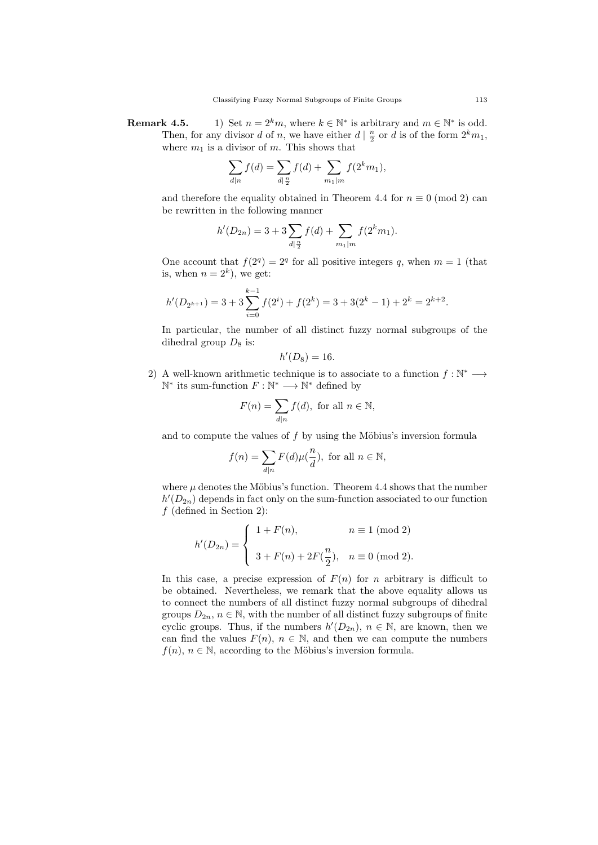**Remark 4.5.** 1) Set  $n = 2^k m$ , where  $k \in \mathbb{N}^*$  is arbitrary and  $m \in \mathbb{N}^*$  is odd. Then, for any divisor d of n, we have either  $d | \frac{n}{2}$  or d is of the form  $2^k m_1$ , where  $m_1$  is a divisor of m. This shows that

$$
\sum_{d|n} f(d) = \sum_{d|\frac{n}{2}} f(d) + \sum_{m_1|m} f(2^k m_1),
$$

and therefore the equality obtained in Theorem 4.4 for  $n \equiv 0 \pmod{2}$  can be rewritten in the following manner

$$
h'(D_{2n}) = 3 + 3\sum_{d|\frac{n}{2}} f(d) + \sum_{m_1|m} f(2^k m_1).
$$

One account that  $f(2^q) = 2^q$  for all positive integers q, when  $m = 1$  (that is, when  $n = 2^k$ , we get:

$$
h'(D_{2^{k+1}}) = 3 + 3\sum_{i=0}^{k-1} f(2^i) + f(2^k) = 3 + 3(2^k - 1) + 2^k = 2^{k+2}.
$$

In particular, the number of all distinct fuzzy normal subgroups of the dihedral group  $D_8$  is:

$$
h'(D_8)=16.
$$

2) A well-known arithmetic technique is to associate to a function  $f : \mathbb{N}^* \longrightarrow$  $\mathbb{N}^*$  its sum-function  $F : \mathbb{N}^* \longrightarrow \mathbb{N}^*$  defined by

$$
F(n) = \sum_{d|n} f(d), \text{ for all } n \in \mathbb{N},
$$

and to compute the values of  $f$  by using the Möbius's inversion formula

$$
f(n) = \sum_{d|n} F(d)\mu(\frac{n}{d}), \text{ for all } n \in \mathbb{N},
$$

where  $\mu$  denotes the Möbius's function. Theorem 4.4 shows that the number  $h'(D_{2n})$  depends in fact only on the sum-function associated to our function  $f$  (defined in Section 2):

$$
h'(D_{2n}) = \begin{cases} 1 + F(n), & n \equiv 1 \pmod{2} \\ 3 + F(n) + 2F(\frac{n}{2}), & n \equiv 0 \pmod{2}. \end{cases}
$$

In this case, a precise expression of  $F(n)$  for n arbitrary is difficult to be obtained. Nevertheless, we remark that the above equality allows us to connect the numbers of all distinct fuzzy normal subgroups of dihedral groups  $D_{2n}$ ,  $n \in \mathbb{N}$ , with the number of all distinct fuzzy subgroups of finite cyclic groups. Thus, if the numbers  $h'(D_{2n})$ ,  $n \in \mathbb{N}$ , are known, then we can find the values  $F(n)$ ,  $n \in \mathbb{N}$ , and then we can compute the numbers  $f(n)$ ,  $n \in \mathbb{N}$ , according to the Möbius's inversion formula.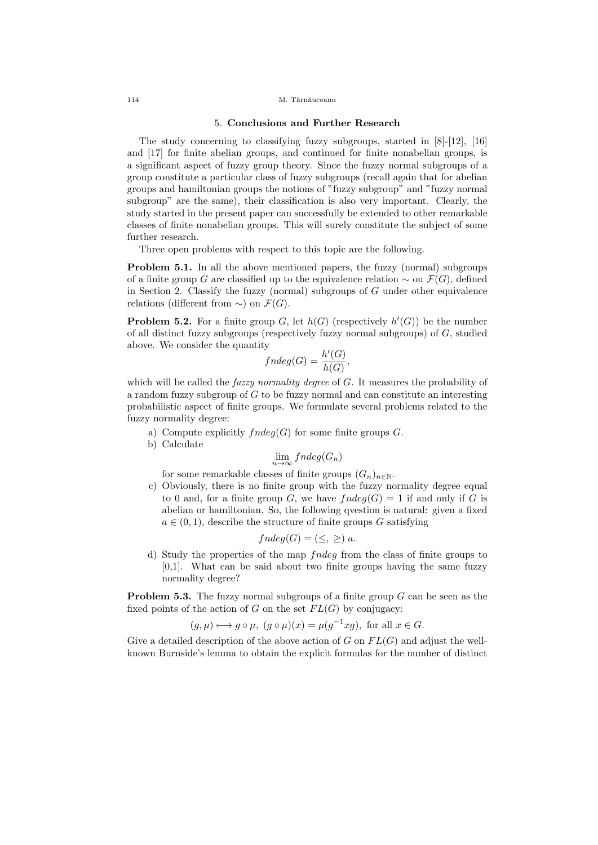#### 114 M. Tărnăuceanu

### 5. Conclusions and Further Research

The study concerning to classifying fuzzy subgroups, started in [8]-[12], [16] and [17] for finite abelian groups, and continued for finite nonabelian groups, is a significant aspect of fuzzy group theory. Since the fuzzy normal subgroups of a group constitute a particular class of fuzzy subgroups (recall again that for abelian groups and hamiltonian groups the notions of "fuzzy subgroup" and "fuzzy normal subgroup" are the same), their classification is also very important. Clearly, the study started in the present paper can successfully be extended to other remarkable classes of finite nonabelian groups. This will surely constitute the subject of some further research.

Three open problems with respect to this topic are the following.

Problem 5.1. In all the above mentioned papers, the fuzzy (normal) subgroups of a finite group G are classified up to the equivalence relation  $\sim$  on  $\mathcal{F}(G)$ , defined in Section 2. Classify the fuzzy (normal) subgroups of  $G$  under other equivalence relations (different from  $\sim$ ) on  $\mathcal{F}(G)$ .

**Problem 5.2.** For a finite group G, let  $h(G)$  (respectively  $h'(G)$ ) be the number of all distinct fuzzy subgroups (respectively fuzzy normal subgroups) of  $G$ , studied above. We consider the quantity

$$
fndeg(G) = \frac{h'(G)}{h(G)},
$$

which will be called the *fuzzy normality degree* of  $G$ . It measures the probability of a random fuzzy subgroup of G to be fuzzy normal and can constitute an interesting probabilistic aspect of finite groups. We formulate several problems related to the fuzzy normality degree:

- a) Compute explicitly  $fndeg(G)$  for some finite groups  $G$ .
- b) Calculate

$$
\lim_{n \to \infty} fndeg(G_n)
$$

for some remarkable classes of finite groups  $(G_n)_{n\in\mathbb{N}}$ .

c) Obviously, there is no finite group with the fuzzy normality degree equal to 0 and, for a finite group G, we have  $fndeg(G) = 1$  if and only if G is abelian or hamiltonian. So, the following qvestion is natural: given a fixed  $a \in (0, 1)$ , describe the structure of finite groups G satisfying

$$
fndeg(G) = (\leq, \geq) a.
$$

d) Study the properties of the map fndeg from the class of finite groups to [0,1]. What can be said about two finite groups having the same fuzzy normality degree?

**Problem 5.3.** The fuzzy normal subgroups of a finite group  $G$  can be seen as the fixed points of the action of G on the set  $FL(G)$  by conjugacy:

$$
(g,\mu) \mapsto g \circ \mu
$$
,  $(g \circ \mu)(x) = \mu(g^{-1}xg)$ , for all  $x \in G$ .

Give a detailed description of the above action of  $G$  on  $FL(G)$  and adjust the wellknown Burnside's lemma to obtain the explicit formulas for the number of distinct